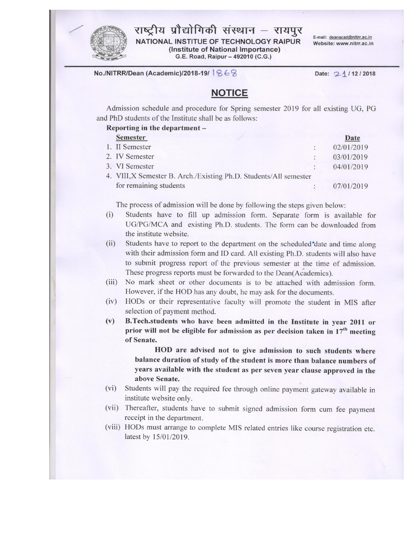

राष्ट्रीय प्रौद्योगिकी संस्थान – रायपुर NATIONAL INSTITUE OF TECHNOLOGY RAIPUR (Institute of National Importance)

G.E. Road, Raipur - 492010 (C.G.)

E-mail: deanacad@nitrr.ac.in Website: www.nitrr.ac.in

No./NITRR/Dean (Academic)/2018-19/ 868

Date: 21/12/2018

### **NOTICE**

Admission schedule and procedure for Spring semester 2019 for all existing UG, PG and PhD students of the Institute shall be as follows:

#### Reporting in the department -

| <b>Semester</b>                                                   | Date       |
|-------------------------------------------------------------------|------------|
| 1. II Semester                                                    | 02/01/2019 |
| 2. IV Semester                                                    | 03/01/2019 |
| 3. VI Semester                                                    | 04/01/2019 |
| 4. VIII, X Semester B. Arch./Existing Ph.D. Students/All semester |            |
| for remaining students                                            | 07/01/2019 |

The process of admission will be done by following the steps given below:

- Students have to fill up admission form. Separate form is available for  $(i)$ UG/PG/MCA and existing Ph.D. students. The form can be downloaded from the institute website.
- $(ii)$ Students have to report to the department on the scheduled date and time along with their admission form and ID card. All existing Ph.D. students will also have to submit progress report of the previous semester at the time of admission. These progress reports must be forwarded to the Dean(Academics).
- $(iii)$ No mark sheet or other documents is to be attached with admission form. However, if the HOD has any doubt, he may ask for the documents.
- HODs or their representative faculty will promote the student in MIS after  $(iv)$ selection of payment method.
- B.Tech.students who have been admitted in the Institute in year 2011 or  $(v)$ prior will not be eligible for admission as per decision taken in 17<sup>th</sup> meeting of Senate.

HOD are advised not to give admission to such students where balance duration of study of the student is more than balance numbers of years available with the student as per seven year clause approved in the above Senate.

- (vi) Students will pay the required fee through online payment gateway available in institute website only.
- (vii) Thereafter, students have to submit signed admission form cum fee payment receipt in the department.
- (viii) HODs must arrange to complete MIS related entries like course registration etc. latest by 15/01/2019.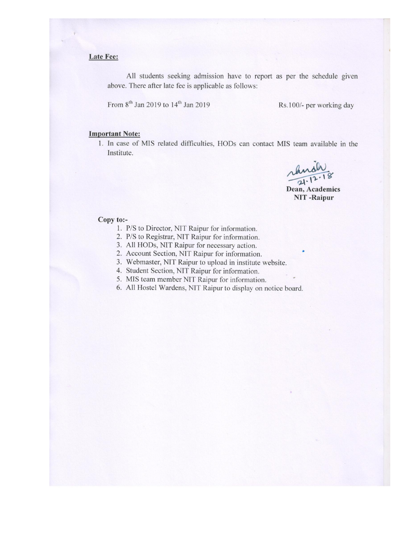#### Late Fee:

All students seeking admission have to report as per the schedule given above. There after late fee is applicable as follows:

From 8<sup>th</sup> Jan 2019 to 14<sup>th</sup> Jan 2019

Rs.100/- per working day

#### **Important Note:**

1. In case of MIS related difficulties, HODs can contact MIS team available in the Institute.

anah  $21.12.18$ 

Dean, Academics **NIT-Raipur** 

#### Copy to:-

- 1. P/S to Director, NIT Raipur for information.
- 2. P/S to Registrar, NIT Raipur for information.
- 3. All HODs, NIT Raipur for necessary action.
- 2. Account Section, NIT Raipur for information.
- 3. Webmaster, NIT Raipur to upload in institute website.
- 4. Student Section, NIT Raipur for information.
- 5. MIS team member NIT Raipur for information.
- 6. All Hostel Wardens, NIT Raipur to display on notice board.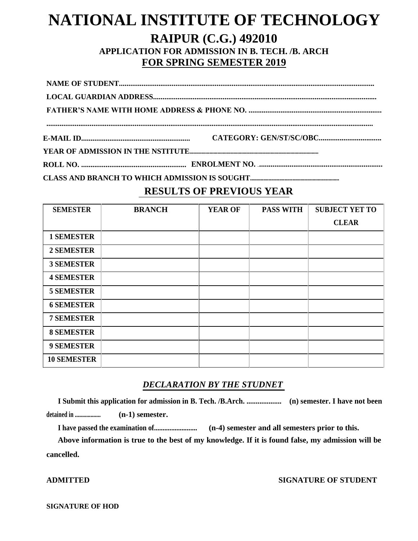# **NATIONAL INSTITUTE OF TECHNOLOGY RAIPUR (C.G.) 492010 APPLICATION FOR ADMISSION IN B. TECH. /B. ARCH FOR SPRING SEMESTER 2019**

**ROLL NO. ........................................................ ENROLMENT NO. ....................................................................**

**CLASS AND BRANCH TO WHICH ADMISSION IS SOUGHT...................................................................**

### **RESULTS OF PREVIOUS YEAR**

| <b>SEMESTER</b>    | <b>BRANCH</b> | <b>YEAR OF</b> | <b>PASS WITH</b> | <b>SUBJECT YET TO</b> |
|--------------------|---------------|----------------|------------------|-----------------------|
|                    |               |                |                  | <b>CLEAR</b>          |
| <b>1 SEMESTER</b>  |               |                |                  |                       |
| <b>2 SEMESTER</b>  |               |                |                  |                       |
| <b>3 SEMESTER</b>  |               |                |                  |                       |
| <b>4 SEMESTER</b>  |               |                |                  |                       |
| <b>5 SEMESTER</b>  |               |                |                  |                       |
| <b>6 SEMESTER</b>  |               |                |                  |                       |
| <b>7 SEMESTER</b>  |               |                |                  |                       |
| <b>8 SEMESTER</b>  |               |                |                  |                       |
| <b>9 SEMESTER</b>  |               |                |                  |                       |
| <b>10 SEMESTER</b> |               |                |                  |                       |

### *DECLARATION BY THE STUDNET*

**I Submit this application for admission in B. Tech. /B.Arch. ................... (n) semester. I have not been detained in .................. (n-1) semester.**

**I have passed the examination of......................... (n-4) semester and all semesters prior to this.**

**Above information is true to the best of my knowledge. If it is found false, my admission will be cancelled.**

**ADMITTED SIGNATURE OF STUDENT**

**SIGNATURE OF HOD**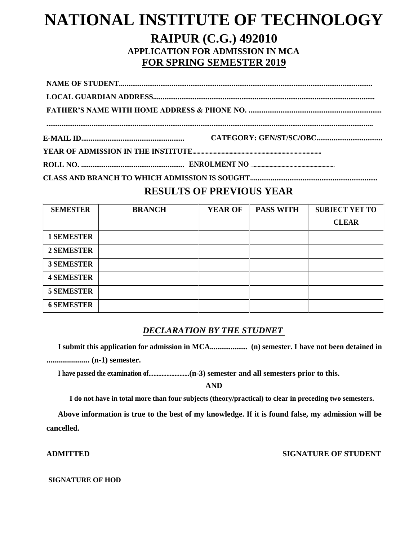# **NATIONAL INSTITUTE OF TECHNOLOGY RAIPUR (C.G.) 492010 APPLICATION FOR ADMISSION IN MCA FOR SPRING SEMESTER 2019**

**ROLL NO. ....................................................... ENROLMENT NO. ..................................................................**

**CLASS AND BRANCH TO WHICH ADMISSION IS SOUGHT....................................................................**

### **RESULTS OF PREVIOUS YEAR**

| <b>SEMESTER</b>   | <b>BRANCH</b> | <b>YEAR OF</b> | <b>PASS WITH</b> | <b>SUBJECT YET TO</b> |
|-------------------|---------------|----------------|------------------|-----------------------|
|                   |               |                |                  | <b>CLEAR</b>          |
| <b>1 SEMESTER</b> |               |                |                  |                       |
| <b>2 SEMESTER</b> |               |                |                  |                       |
| <b>3 SEMESTER</b> |               |                |                  |                       |
| <b>4 SEMESTER</b> |               |                |                  |                       |
| <b>5 SEMESTER</b> |               |                |                  |                       |
| <b>6 SEMESTER</b> |               |                |                  |                       |

### *DECLARATION BY THE STUDNET*

**I submit this application for admission in MCA.................... (n) semester. I have not been detained in ...................... (n-1) semester.**

**I have passed the examination of.........................(n-3) semester and all semesters prior to this.**

**AND**

**I do not have in total more than four subjects (theory/practical) to clear in preceding two semesters.**

**Above information is true to the best of my knowledge. If it is found false, my admission will be cancelled.**

**ADMITTED SIGNATURE OF STUDENT**

#### **SIGNATURE OF HOD**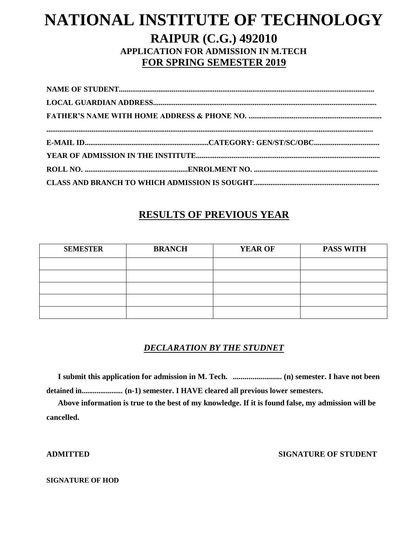# **NATIONAL INSTITUTE OF TECHNOLOGY RAIPUR (C.G.) 492010 APPLICATION FOR ADMISSION IN M.TECH FOR SPRING SEMESTER 2019**

## **RESULTS OF PREVIOUS YEAR**

| <b>SEMESTER</b> | <b>BRANCH</b> | <b>YEAR OF</b> | <b>PASS WITH</b> |
|-----------------|---------------|----------------|------------------|
|                 |               |                |                  |
|                 |               |                |                  |
|                 |               |                |                  |
|                 |               |                |                  |
|                 |               |                |                  |

### *DECLARATION BY THE STUDNET*

**I submit this application for admission in M. Tech. ......................... (n) semester. I have not been detained in...................... (n-1) semester. I HAVE cleared all previous lower semesters.**

**Above information is true to the best of my knowledge. If it is found false, my admission will be cancelled.**

### **ADMITTED SIGNATURE OF STUDENT**

#### **SIGNATURE OF HOD**